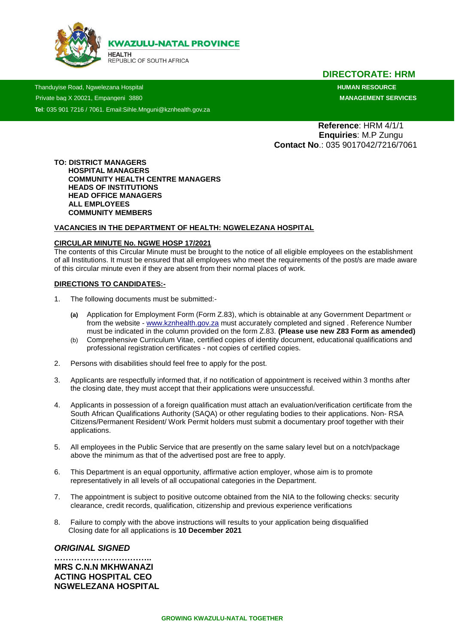

**HEALTH** ...........<br>REPUBLIC OF SOUTH AFRICA

## **DIRECTORATE: HRM**

 Thanduyise Road, Ngwelezana Hospital **HUMAN RESOURCE** Private bag X 20021, Empangeni 3880 **MANAGEMENT SERVICES Tel**: 035 901 7216 / 7061. Email:Sihle.Mnguni@kznhealth.gov.za

 **Reference**: HRM 4/1/1  **Enquiries**: M.P Zungu  **Contact No**.: 035 9017042/7216/7061

**TO: DISTRICT MANAGERS HOSPITAL MANAGERS COMMUNITY HEALTH CENTRE MANAGERS HEADS OF INSTITUTIONS HEAD OFFICE MANAGERS ALL EMPLOYEES COMMUNITY MEMBERS** 

#### **VACANCIES IN THE DEPARTMENT OF HEALTH: NGWELEZANA HOSPITAL**

#### **CIRCULAR MINUTE No. NGWE HOSP 17/2021**

The contents of this Circular Minute must be brought to the notice of all eligible employees on the establishment of all Institutions. It must be ensured that all employees who meet the requirements of the post/s are made aware of this circular minute even if they are absent from their normal places of work.

#### **DIRECTIONS TO CANDIDATES:-**

- 1. The following documents must be submitted:-
	- **(a)** Application for Employment Form (Form Z.83), which is obtainable at any Government Department or from the website - [www.kznhealth.gov.za](http://www.kznhealth.gov.za/) must accurately completed and signed . Reference Number must be indicated in the column provided on the form Z.83. **(Please use new Z83 Form as amended)**
	- (b) Comprehensive Curriculum Vitae, certified copies of identity document, educational qualifications and professional registration certificates - not copies of certified copies.
- 2. Persons with disabilities should feel free to apply for the post.
- 3. Applicants are respectfully informed that, if no notification of appointment is received within 3 months after the closing date, they must accept that their applications were unsuccessful.
- 4. Applicants in possession of a foreign qualification must attach an evaluation/verification certificate from the South African Qualifications Authority (SAQA) or other regulating bodies to their applications. Non- RSA Citizens/Permanent Resident/ Work Permit holders must submit a documentary proof together with their applications.
- 5. All employees in the Public Service that are presently on the same salary level but on a notch/package above the minimum as that of the advertised post are free to apply.
- 6. This Department is an equal opportunity, affirmative action employer, whose aim is to promote representatively in all levels of all occupational categories in the Department.
- 7. The appointment is subject to positive outcome obtained from the NIA to the following checks: security clearance, credit records, qualification, citizenship and previous experience verifications
- 8. Failure to comply with the above instructions will results to your application being disqualified Closing date for all applications is **10 December 2021**

#### *ORIGINAL SIGNED*

**…………………………….. MRS C.N.N MKHWANAZI ACTING HOSPITAL CEO NGWELEZANA HOSPITAL**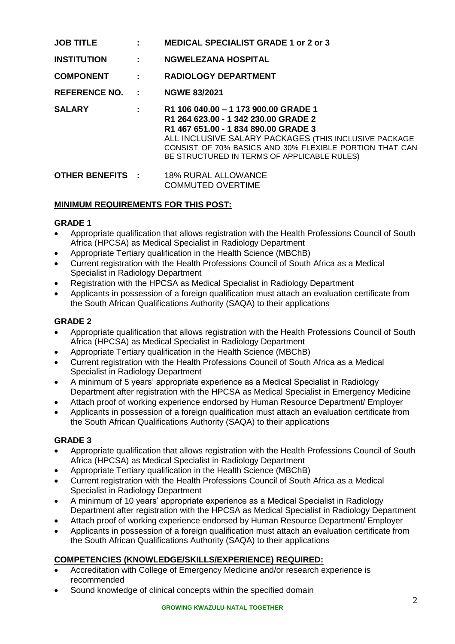| <b>JOB TITLE</b>   | <b>Contractor</b>        | <b>MEDICAL SPECIALIST GRADE 1 or 2 or 3</b>                                                                                                                                                                                                                                              |
|--------------------|--------------------------|------------------------------------------------------------------------------------------------------------------------------------------------------------------------------------------------------------------------------------------------------------------------------------------|
| <b>INSTITUTION</b> | <b>Contractor</b>        | <b>NGWELEZANA HOSPITAL</b>                                                                                                                                                                                                                                                               |
| <b>COMPONENT</b>   | <b>Contract Contract</b> | <b>RADIOLOGY DEPARTMENT</b>                                                                                                                                                                                                                                                              |
| REFERENCE NO. :    |                          | <b>NGWE 83/2021</b>                                                                                                                                                                                                                                                                      |
| <b>SALARY</b>      |                          | $R1 106 040.00 - 1173 900.00$ GRADE 1<br>R1 264 623.00 - 1 342 230.00 GRADE 2<br>R1 467 651.00 - 1 834 890.00 GRADE 3<br>ALL INCLUSIVE SALARY PACKAGES (THIS INCLUSIVE PACKAGE<br>CONSIST OF 70% BASICS AND 30% FLEXIBLE PORTION THAT CAN<br>BE STRUCTURED IN TERMS OF APPLICABLE RULES) |
|                    |                          | <b>OTHER BENEFITS : 48% RURAL ALLOWANCE</b><br><b>COMMUTED OVERTIME</b>                                                                                                                                                                                                                  |

## **MINIMUM REQUIREMENTS FOR THIS POST:**

## **GRADE 1**

- Appropriate qualification that allows registration with the Health Professions Council of South Africa (HPCSA) as Medical Specialist in Radiology Department
- Appropriate Tertiary qualification in the Health Science (MBChB)
- Current registration with the Health Professions Council of South Africa as a Medical Specialist in Radiology Department
- Registration with the HPCSA as Medical Specialist in Radiology Department
- Applicants in possession of a foreign qualification must attach an evaluation certificate from the South African Qualifications Authority (SAQA) to their applications

## **GRADE 2**

- Appropriate qualification that allows registration with the Health Professions Council of South Africa (HPCSA) as Medical Specialist in Radiology Department
- Appropriate Tertiary qualification in the Health Science (MBChB)
- Current registration with the Health Professions Council of South Africa as a Medical Specialist in Radiology Department
- A minimum of 5 years' appropriate experience as a Medical Specialist in Radiology Department after registration with the HPCSA as Medical Specialist in Emergency Medicine
- Attach proof of working experience endorsed by Human Resource Department/ Employer
- Applicants in possession of a foreign qualification must attach an evaluation certificate from the South African Qualifications Authority (SAQA) to their applications

## **GRADE 3**

- Appropriate qualification that allows registration with the Health Professions Council of South Africa (HPCSA) as Medical Specialist in Radiology Department
- Appropriate Tertiary qualification in the Health Science (MBChB)
- Current registration with the Health Professions Council of South Africa as a Medical Specialist in Radiology Department
- A minimum of 10 years' appropriate experience as a Medical Specialist in Radiology Department after registration with the HPCSA as Medical Specialist in Radiology Department
- Attach proof of working experience endorsed by Human Resource Department/ Employer
- Applicants in possession of a foreign qualification must attach an evaluation certificate from the South African Qualifications Authority (SAQA) to their applications

## **COMPETENCIES (KNOWLEDGE/SKILLS/EXPERIENCE) REQUIRED:**

- Accreditation with College of Emergency Medicine and/or research experience is recommended
- Sound knowledge of clinical concepts within the specified domain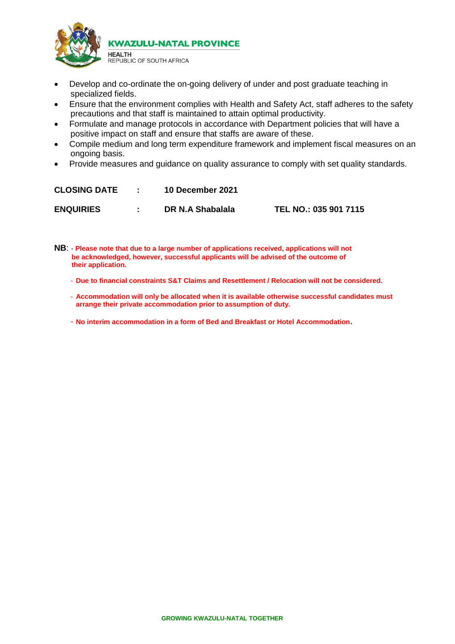

- Develop and co-ordinate the on-going delivery of under and post graduate teaching in specialized fields.
- Ensure that the environment complies with Health and Safety Act, staff adheres to the safety precautions and that staff is maintained to attain optimal productivity.
- Formulate and manage protocols in accordance with Department policies that will have a positive impact on staff and ensure that staffs are aware of these.
- Compile medium and long term expenditure framework and implement fiscal measures on an ongoing basis.
- Provide measures and quidance on quality assurance to comply with set quality standards.

| <b>CLOSING DATE</b> | <b>10 December 2021</b> |                       |
|---------------------|-------------------------|-----------------------|
| <b>ENQUIRIES</b>    | DR N.A Shabalala        | TEL NO.: 035 901 7115 |

**NB**: - **Please note that due to a large number of applications received, applications will not be acknowledged, however, successful applicants will be advised of the outcome of their application.**

- **Due to financial constraints S&T Claims and Resettlement / Relocation will not be considered.**
- **Accommodation will only be allocated when it is available otherwise successful candidates must arrange their private accommodation prior to assumption of duty.**

- **No interim accommodation in a form of Bed and Breakfast or Hotel Accommodation.**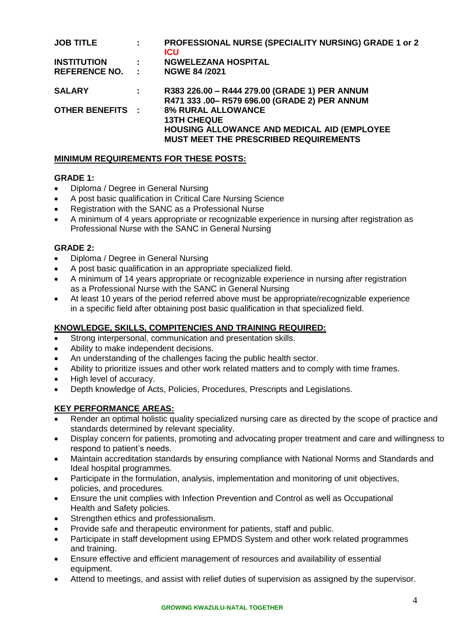| <b>JOB TITLE</b>        | ÷. | PROFESSIONAL NURSE (SPECIALITY NURSING) GRADE 1 or 2<br><b>ICU</b>                                                                             |
|-------------------------|----|------------------------------------------------------------------------------------------------------------------------------------------------|
| <b>INSTITUTION</b>      | ÷  | <b>NGWELEZANA HOSPITAL</b>                                                                                                                     |
| REFERENCE NO. :         |    | <b>NGWE 84/2021</b>                                                                                                                            |
| <b>SALARY</b>           | ÷. | R383 226.00 - R444 279.00 (GRADE 1) PER ANNUM<br>R471 333 .00- R579 696.00 (GRADE 2) PER ANNUM                                                 |
| <b>OTHER BENEFITS :</b> |    | <b>8% RURAL ALLOWANCE</b><br><b>13TH CHEQUE</b><br>HOUSING ALLOWANCE AND MEDICAL AID (EMPLOYEE<br><b>MUST MEET THE PRESCRIBED REQUIREMENTS</b> |

## **MINIMUM REQUIREMENTS FOR THESE POSTS:**

### **GRADE 1:**

- Diploma / Degree in General Nursing
- A post basic qualification in Critical Care Nursing Science
- Registration with the SANC as a Professional Nurse
- A minimum of 4 years appropriate or recognizable experience in nursing after registration as Professional Nurse with the SANC in General Nursing

## **GRADE 2:**

- Diploma / Degree in General Nursing
- A post basic qualification in an appropriate specialized field.
- A minimum of 14 years appropriate or recognizable experience in nursing after registration as a Professional Nurse with the SANC in General Nursing
- At least 10 years of the period referred above must be appropriate/recognizable experience in a specific field after obtaining post basic qualification in that specialized field.

## **KNOWLEDGE, SKILLS, COMPITENCIES AND TRAINING REQUIRED:**

- Strong interpersonal, communication and presentation skills.
- Ability to make independent decisions.
- An understanding of the challenges facing the public health sector.
- Ability to prioritize issues and other work related matters and to comply with time frames.
- High level of accuracy.
- Depth knowledge of Acts, Policies, Procedures, Prescripts and Legislations.

## **KEY PERFORMANCE AREAS:**

- Render an optimal holistic quality specialized nursing care as directed by the scope of practice and standards determined by relevant speciality.
- Display concern for patients, promoting and advocating proper treatment and care and willingness to respond to patient's needs.
- Maintain accreditation standards by ensuring compliance with National Norms and Standards and Ideal hospital programmes.
- Participate in the formulation, analysis, implementation and monitoring of unit objectives, policies, and procedures.
- Ensure the unit complies with Infection Prevention and Control as well as Occupational Health and Safety policies.
- Strengthen ethics and professionalism.
- Provide safe and therapeutic environment for patients, staff and public.
- Participate in staff development using EPMDS System and other work related programmes and training.
- Ensure effective and efficient management of resources and availability of essential equipment.
- Attend to meetings, and assist with relief duties of supervision as assigned by the supervisor.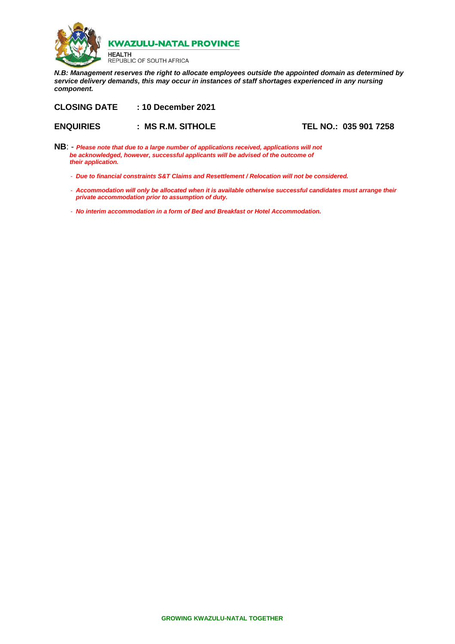

**HEALTH** REPUBLIC OF SOUTH AFRICA

*N.B: Management reserves the right to allocate employees outside the appointed domain as determined by service delivery demands, this may occur in instances of staff shortages experienced in any nursing component.*

**CLOSING DATE : 10 December 2021**

**ENQUIRIES : MS R.M. SITHOLE TEL NO.: 035 901 7258**

- **NB**: *Please note that due to a large number of applications received, applications will not be acknowledged, however, successful applicants will be advised of the outcome of their application.*
	- *Due to financial constraints S&T Claims and Resettlement / Relocation will not be considered.*
	- *Accommodation will only be allocated when it is available otherwise successful candidates must arrange their private accommodation prior to assumption of duty.*
	- *No interim accommodation in a form of Bed and Breakfast or Hotel Accommodation.*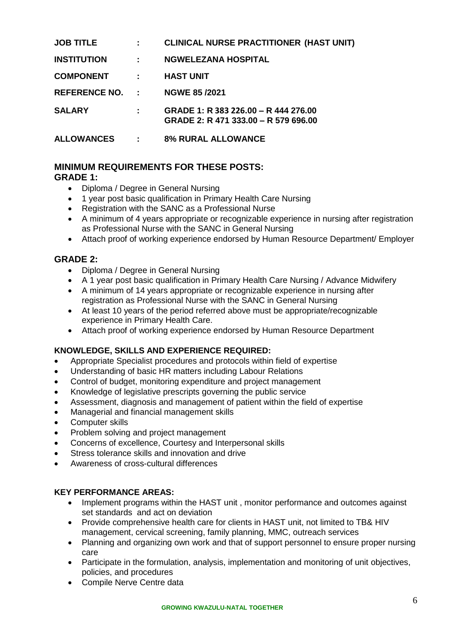| <b>JOB TITLE</b>       |           | <b>CLINICAL NURSE PRACTITIONER (HAST UNIT)</b>                               |
|------------------------|-----------|------------------------------------------------------------------------------|
| <b>INSTITUTION</b>     | 2.500     | <b>NGWELEZANA HOSPITAL</b>                                                   |
| <b>COMPONENT</b>       |           | <b>HAST UNIT</b>                                                             |
| <b>REFERENCE NO. :</b> |           | <b>NGWE 85/2021</b>                                                          |
| <b>SALARY</b>          |           | GRADE 1: R 383 226.00 - R 444 276.00<br>GRADE 2: R 471 333.00 - R 579 696.00 |
| <b>ALLOWANCES</b>      | $\sim$ 1. | <b>8% RURAL ALLOWANCE</b>                                                    |

# **MINIMUM REQUIREMENTS FOR THESE POSTS:**

## **GRADE 1:**

- Diploma / Degree in General Nursing
- 1 year post basic qualification in Primary Health Care Nursing
- Registration with the SANC as a Professional Nurse
- A minimum of 4 years appropriate or recognizable experience in nursing after registration as Professional Nurse with the SANC in General Nursing
- Attach proof of working experience endorsed by Human Resource Department/ Employer

## **GRADE 2:**

- Diploma / Degree in General Nursing
- A 1 year post basic qualification in Primary Health Care Nursing / Advance Midwifery
- A minimum of 14 years appropriate or recognizable experience in nursing after registration as Professional Nurse with the SANC in General Nursing
- At least 10 years of the period referred above must be appropriate/recognizable experience in Primary Health Care.
- Attach proof of working experience endorsed by Human Resource Department

## **KNOWLEDGE, SKILLS AND EXPERIENCE REQUIRED:**

- Appropriate Specialist procedures and protocols within field of expertise
- Understanding of basic HR matters including Labour Relations
- Control of budget, monitoring expenditure and project management
- Knowledge of legislative prescripts governing the public service
- Assessment, diagnosis and management of patient within the field of expertise
- Managerial and financial management skills
- Computer skills
- Problem solving and project management
- Concerns of excellence, Courtesy and Interpersonal skills
- Stress tolerance skills and innovation and drive
- Awareness of cross-cultural differences

## **KEY PERFORMANCE AREAS:**

- Implement programs within the HAST unit, monitor performance and outcomes against set standards and act on deviation
- Provide comprehensive health care for clients in HAST unit, not limited to TB& HIV management, cervical screening, family planning, MMC, outreach services
- Planning and organizing own work and that of support personnel to ensure proper nursing care
- Participate in the formulation, analysis, implementation and monitoring of unit objectives, policies, and procedures
- Compile Nerve Centre data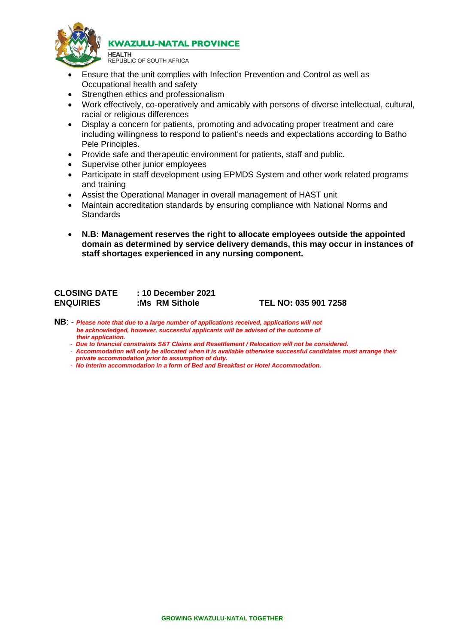

**HEALTH** REPUBLIC OF SOUTH AFRICA

- Ensure that the unit complies with Infection Prevention and Control as well as Occupational health and safety
- Strengthen ethics and professionalism
- Work effectively, co-operatively and amicably with persons of diverse intellectual, cultural, racial or religious differences
- Display a concern for patients, promoting and advocating proper treatment and care including willingness to respond to patient's needs and expectations according to Batho Pele Principles.
- Provide safe and therapeutic environment for patients, staff and public.
- Supervise other junior employees
- Participate in staff development using EPMDS System and other work related programs and training
- Assist the Operational Manager in overall management of HAST unit
- Maintain accreditation standards by ensuring compliance with National Norms and **Standards**
- **N.B: Management reserves the right to allocate employees outside the appointed domain as determined by service delivery demands, this may occur in instances of staff shortages experienced in any nursing component.**

| <b>CLOSING DATE</b> | : 10 December 2021 |
|---------------------|--------------------|
| <b>ENQUIRIES</b>    | :Ms RM Sithole     |

**ENQUIRIES :Ms RM Sithole TEL NO: 035 901 7258**

- **NB**: *Please note that due to a large number of applications received, applications will not be acknowledged, however, successful applicants will be advised of the outcome of their application.*
	- *Due to financial constraints S&T Claims and Resettlement / Relocation will not be considered.*
	- *Accommodation will only be allocated when it is available otherwise successful candidates must arrange their private accommodation prior to assumption of duty.*
	- *No interim accommodation in a form of Bed and Breakfast or Hotel Accommodation.*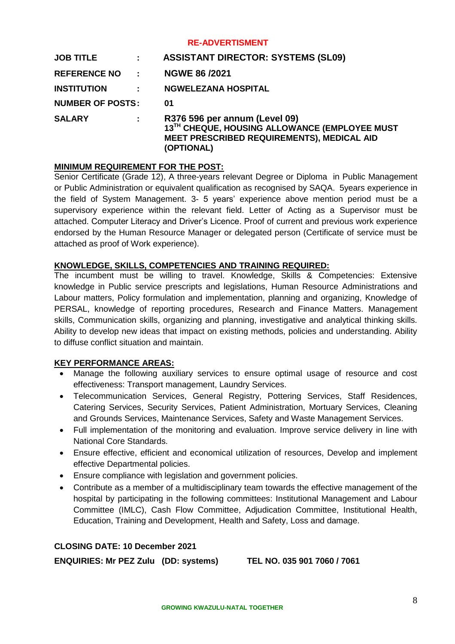#### **RE-ADVERTISMENT**

| <b>JOB TITLE</b>        | ÷. | <b>ASSISTANT DIRECTOR: SYSTEMS (SL09)</b>                                                                                                         |
|-------------------------|----|---------------------------------------------------------------------------------------------------------------------------------------------------|
| REFERENCE NO :          |    | <b>NGWE 86/2021</b>                                                                                                                               |
| <b>INSTITUTION</b>      |    | <b>NGWELEZANA HOSPITAL</b>                                                                                                                        |
| <b>NUMBER OF POSTS:</b> |    | 01                                                                                                                                                |
| <b>SALARY</b>           | ÷. | R376 596 per annum (Level 09)<br>13TH CHEQUE, HOUSING ALLOWANCE (EMPLOYEE MUST<br><b>MEET PRESCRIBED REQUIREMENTS), MEDICAL AID</b><br>(OPTIONAL) |

### **MINIMUM REQUIREMENT FOR THE POST:**

Senior Certificate (Grade 12), A three-years relevant Degree or Diploma in Public Management or Public Administration or equivalent qualification as recognised by SAQA. 5years experience in the field of System Management. 3- 5 years' experience above mention period must be a supervisory experience within the relevant field. Letter of Acting as a Supervisor must be attached. Computer Literacy and Driver's Licence. Proof of current and previous work experience endorsed by the Human Resource Manager or delegated person (Certificate of service must be attached as proof of Work experience).

## **KNOWLEDGE, SKILLS, COMPETENCIES AND TRAINING REQUIRED:**

The incumbent must be willing to travel. Knowledge, Skills & Competencies: Extensive knowledge in Public service prescripts and legislations, Human Resource Administrations and Labour matters, Policy formulation and implementation, planning and organizing, Knowledge of PERSAL, knowledge of reporting procedures, Research and Finance Matters. Management skills, Communication skills, organizing and planning, investigative and analytical thinking skills. Ability to develop new ideas that impact on existing methods, policies and understanding. Ability to diffuse conflict situation and maintain.

## **KEY PERFORMANCE AREAS:**

- Manage the following auxiliary services to ensure optimal usage of resource and cost effectiveness: Transport management, Laundry Services.
- Telecommunication Services, General Registry, Pottering Services, Staff Residences, Catering Services, Security Services, Patient Administration, Mortuary Services, Cleaning and Grounds Services, Maintenance Services, Safety and Waste Management Services.
- Full implementation of the monitoring and evaluation. Improve service delivery in line with National Core Standards.
- Ensure effective, efficient and economical utilization of resources, Develop and implement effective Departmental policies.
- Ensure compliance with legislation and government policies.
- Contribute as a member of a multidisciplinary team towards the effective management of the hospital by participating in the following committees: Institutional Management and Labour Committee (IMLC), Cash Flow Committee, Adjudication Committee, Institutional Health, Education, Training and Development, Health and Safety, Loss and damage.

### **CLOSING DATE: 10 December 2021**

**ENQUIRIES: Mr PEZ Zulu (DD: systems) TEL NO. 035 901 7060 / 7061**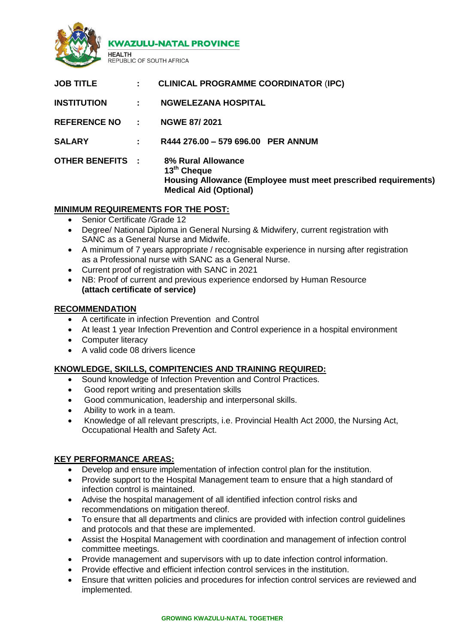

EPUBLIC OF SOUTH AFRICA

| <b>JOB TITLE</b>        | $\mathbf{L}$ | <b>CLINICAL PROGRAMME COORDINATOR (IPC)</b>                                                                                                             |
|-------------------------|--------------|---------------------------------------------------------------------------------------------------------------------------------------------------------|
| <b>INSTITUTION</b>      | $\mathbf{r}$ | <b>NGWELEZANA HOSPITAL</b>                                                                                                                              |
| REFERENCE NO :          |              | <b>NGWE 87/2021</b>                                                                                                                                     |
| <b>SALARY</b>           | ÷.           | R444 276.00 - 579 696.00 PER ANNUM                                                                                                                      |
| <b>OTHER BENEFITS :</b> |              | <b>8% Rural Allowance</b><br>13 <sup>th</sup> Cheque<br>Housing Allowance (Employee must meet prescribed requirements)<br><b>Medical Aid (Optional)</b> |

## **MINIMUM REQUIREMENTS FOR THE POST:**

Senior Certificate /Grade 12

**HEALTH** 

- Degree/ National Diploma in General Nursing & Midwifery, current registration with SANC as a General Nurse and Midwife.
- A minimum of 7 years appropriate / recognisable experience in nursing after registration as a Professional nurse with SANC as a General Nurse.
- Current proof of registration with SANC in 2021
- NB: Proof of current and previous experience endorsed by Human Resource **(attach certificate of service)**

### **RECOMMENDATION**

- A certificate in infection Prevention and Control
- At least 1 year Infection Prevention and Control experience in a hospital environment
- Computer literacy
- A valid code 08 drivers licence

## **KNOWLEDGE, SKILLS, COMPITENCIES AND TRAINING REQUIRED:**

- Sound knowledge of Infection Prevention and Control Practices.
- Good report writing and presentation skills
- Good communication, leadership and interpersonal skills.
- Ability to work in a team.
- Knowledge of all relevant prescripts, i.e. Provincial Health Act 2000, the Nursing Act, Occupational Health and Safety Act.

## **KEY PERFORMANCE AREAS:**

- Develop and ensure implementation of infection control plan for the institution.
- Provide support to the Hospital Management team to ensure that a high standard of infection control is maintained.
- Advise the hospital management of all identified infection control risks and recommendations on mitigation thereof.
- To ensure that all departments and clinics are provided with infection control guidelines and protocols and that these are implemented.
- Assist the Hospital Management with coordination and management of infection control committee meetings.
- Provide management and supervisors with up to date infection control information.
- Provide effective and efficient infection control services in the institution.
- Ensure that written policies and procedures for infection control services are reviewed and implemented.